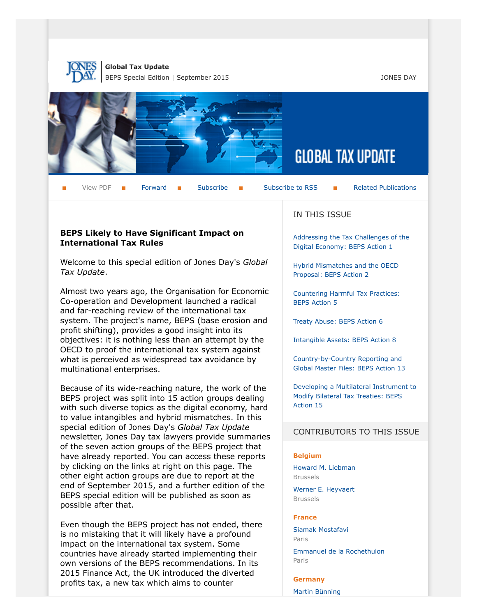



View PDF  $\blacksquare$  [Forward](http://thewritestuff.jonesday.com/cff/21dee491f2985a655505c20e8dffde86a8e5654a/)  $\blacksquare$  [Subscribe](http://www.jonesday.com/newsknowledge/publications.aspx)  $\blacksquare$  [Subscribe to RSS](http://www.jonesday.com/newsknowledge/rss.aspx)  $\blacksquare$  [Related Publications](http://www.jonesday.com/experiencepractices/servicedetail.aspx?serviceid=30984289-de70-4a46-bd3a-1cb0b9121c7e§ion=Publications)

# **BEPS Likely to Have Significant Impact on International Tax Rules**

Welcome to this special edition of Jones Day's *Global Tax Update*.

Almost two years ago, the Organisation for Economic Co-operation and Development launched a radical and far-reaching review of the international tax system. The project's name, BEPS (base erosion and profit shifting), provides a good insight into its objectives: it is nothing less than an attempt by the OECD to proof the international tax system against what is perceived as widespread tax avoidance by multinational enterprises.

Because of its wide-reaching nature, the work of the BEPS project was split into 15 action groups dealing with such diverse topics as the digital economy, hard to value intangibles and hybrid mismatches. In this special edition of Jones Day's *Global Tax Update* newsletter, Jones Day tax lawyers provide summaries of the seven action groups of the BEPS project that have already reported. You can access these reports by clicking on the links at right on this page. The other eight action groups are due to report at the end of September 2015, and a further edition of the BEPS special edition will be published as soon as possible after that.

Even though the BEPS project has not ended, there is no mistaking that it will likely have a profound impact on the international tax system. Some countries have already started implementing their own versions of the BEPS recommendations. In its 2015 Finance Act, the UK introduced the diverted profits tax, a new tax which aims to counter

## IN THIS ISSUE

[Addressing the Tax Challenges of the](http://thewritestuff.jonesday.com/cv/21dee491f2985a655505c20e8dffde86a8e5654a/p=7848861) [Digital Economy: BEPS Action 1](http://thewritestuff.jonesday.com/cv/21dee491f2985a655505c20e8dffde86a8e5654a/p=7848861)

[Hybrid Mismatches and the OECD](http://thewritestuff.jonesday.com/cv/21dee491f2985a655505c20e8dffde86a8e5654a/p=5816175) [Proposal: BEPS Action 2](http://thewritestuff.jonesday.com/cv/21dee491f2985a655505c20e8dffde86a8e5654a/p=5816175)

[Countering Harmful Tax Practices:](http://thewritestuff.jonesday.com/cv/21dee491f2985a655505c20e8dffde86a8e5654a/p=2366042) [BEPS Action 5](http://thewritestuff.jonesday.com/cv/21dee491f2985a655505c20e8dffde86a8e5654a/p=2366042)

[Treaty Abuse: BEPS Action 6](http://thewritestuff.jonesday.com/cv/21dee491f2985a655505c20e8dffde86a8e5654a/p=3754637)

[Intangible Assets: BEPS Action 8](http://thewritestuff.jonesday.com/cv/21dee491f2985a655505c20e8dffde86a8e5654a/p=3426197)

[Country-by-Country Reporting and](http://thewritestuff.jonesday.com/cv/21dee491f2985a655505c20e8dffde86a8e5654a/p=9059942) [Global Master Files: BEPS Action 13](http://thewritestuff.jonesday.com/cv/21dee491f2985a655505c20e8dffde86a8e5654a/p=9059942)

[Developing a Multilateral Instrument to](http://thewritestuff.jonesday.com/cv/21dee491f2985a655505c20e8dffde86a8e5654a/p=9264822) [Modify Bilateral Tax Treaties: BEPS](http://thewritestuff.jonesday.com/cv/21dee491f2985a655505c20e8dffde86a8e5654a/p=9264822) [Action 15](http://thewritestuff.jonesday.com/cv/21dee491f2985a655505c20e8dffde86a8e5654a/p=9264822)

#### CONTRIBUTORS TO THIS ISSUE

#### **Belgium**

[Howard M. Liebman](http://www.jonesday.com/hliebman/) Brussels

[Werner E. Heyvaert](http://www.jonesday.com/wheyvaert/) Brussels

#### **France**

[Siamak Mostafavi](http://www.jonesday.com/smostafavi/) Paris

[Emmanuel de la Rochethulon](http://www.jonesday.com/edelarochethulon/) Paris

#### **Germany**

[Martin Bünning](http://www.jonesday.com/mbuenning/)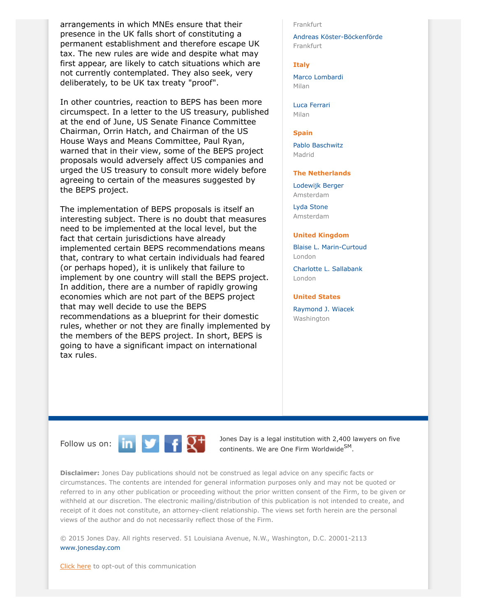arrangements in which MNEs ensure that their presence in the UK falls short of constituting a permanent establishment and therefore escape UK tax. The new rules are wide and despite what may first appear, are likely to catch situations which are not currently contemplated. They also seek, very deliberately, to be UK tax treaty "proof".

In other countries, reaction to BEPS has been more circumspect. In a letter to the US treasury, published at the end of June, US Senate Finance Committee Chairman, Orrin Hatch, and Chairman of the US House Ways and Means Committee, Paul Ryan, warned that in their view, some of the BEPS project proposals would adversely affect US companies and urged the US treasury to consult more widely before agreeing to certain of the measures suggested by the BEPS project.

The implementation of BEPS proposals is itself an interesting subject. There is no doubt that measures need to be implemented at the local level, but the fact that certain jurisdictions have already implemented certain BEPS recommendations means that, contrary to what certain individuals had feared (or perhaps hoped), it is unlikely that failure to implement by one country will stall the BEPS project. In addition, there are a number of rapidly growing economies which are not part of the BEPS project that may well decide to use the BEPS recommendations as a blueprint for their domestic rules, whether or not they are finally implemented by the members of the BEPS project. In short, BEPS is going to have a significant impact on international tax rules.

#### Frankfurt

[Andreas Köster-Böckenförde](http://www.jonesday.com/akboeckenfoerde/) Frankfurt

#### **Italy**

[Marco Lombardi](http://www.jonesday.com/mlombardi/) Milan

[Luca Ferrari](http://www.jonesday.com/lferrari) Milan

#### **Spain**

[Pablo Baschwitz](http://www.jonesday.com/pbaschwitz/) Madrid

#### **The Netherlands**

[Lodewijk Berger](http://www.jonesday.com/lberger/) Amsterdam

[Lyda Stone](http://www.jonesday.com/lstone/) Amsterdam

#### **United Kingdom**

[Blaise L. Marin-Curtoud](http://www.jonesday.com/bmarin/) London

[Charlotte L. Sallabank](http://www.jonesday.com/csallabank/) London

#### **United States**

[Raymond J. Wiacek](http://www.jonesday.com/rjwiacek/) **Washington** 



Follow us on:  $\begin{array}{|c|c|c|c|c|}\n\hline\n\text{In} & \text{I} & \text{I} & \text{Jones Day is a legal institution with 2,400 lawyers on five  
continuous.} \end{array}$ continents. We are One Firm Worldwide<sup>SM</sup>.

**Disclaimer:** Jones Day publications should not be construed as legal advice on any specific facts or circumstances. The contents are intended for general information purposes only and may not be quoted or referred to in any other publication or proceeding without the prior written consent of the Firm, to be given or withheld at our discretion. The electronic mailing/distribution of this publication is not intended to create, and receipt of it does not constitute, an attorney-client relationship. The views set forth herein are the personal views of the author and do not necessarily reflect those of the Firm.

© 2015 Jones Day. All rights reserved. 51 Louisiana Avenue, N.W., Washington, D.C. 20001-2113 [www.jonesday.com](http://www.jonesday.com)

[Click here](http://thewritestuff.jonesday.com/ro/) to opt-out of this communication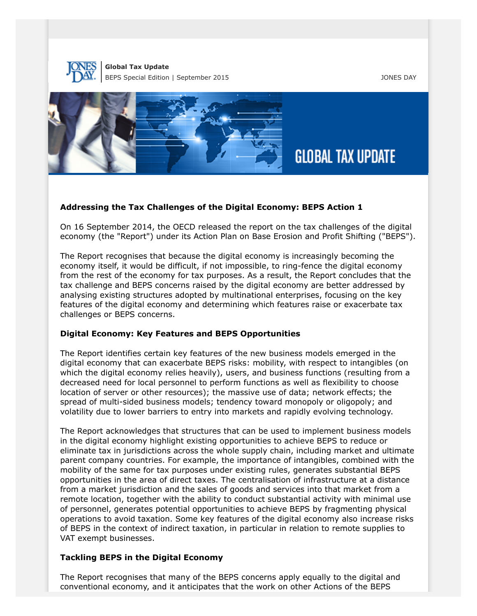



#### **Addressing the Tax Challenges of the Digital Economy: BEPS Action 1**

On 16 September 2014, the OECD released the report on the tax challenges of the digital economy (the "Report") under its Action Plan on Base Erosion and Profit Shifting ("BEPS").

The Report recognises that because the digital economy is increasingly becoming the economy itself, it would be difficult, if not impossible, to ring-fence the digital economy from the rest of the economy for tax purposes. As a result, the Report concludes that the tax challenge and BEPS concerns raised by the digital economy are better addressed by analysing existing structures adopted by multinational enterprises, focusing on the key features of the digital economy and determining which features raise or exacerbate tax challenges or BEPS concerns.

#### **Digital Economy: Key Features and BEPS Opportunities**

The Report identifies certain key features of the new business models emerged in the digital economy that can exacerbate BEPS risks: mobility, with respect to intangibles (on which the digital economy relies heavily), users, and business functions (resulting from a decreased need for local personnel to perform functions as well as flexibility to choose location of server or other resources); the massive use of data; network effects; the spread of multi-sided business models; tendency toward monopoly or oligopoly; and volatility due to lower barriers to entry into markets and rapidly evolving technology.

The Report acknowledges that structures that can be used to implement business models in the digital economy highlight existing opportunities to achieve BEPS to reduce or eliminate tax in jurisdictions across the whole supply chain, including market and ultimate parent company countries. For example, the importance of intangibles, combined with the mobility of the same for tax purposes under existing rules, generates substantial BEPS opportunities in the area of direct taxes. The centralisation of infrastructure at a distance from a market jurisdiction and the sales of goods and services into that market from a remote location, together with the ability to conduct substantial activity with minimal use of personnel, generates potential opportunities to achieve BEPS by fragmenting physical operations to avoid taxation. Some key features of the digital economy also increase risks of BEPS in the context of indirect taxation, in particular in relation to remote supplies to VAT exempt businesses.

#### **Tackling BEPS in the Digital Economy**

The Report recognises that many of the BEPS concerns apply equally to the digital and conventional economy, and it anticipates that the work on other Actions of the BEPS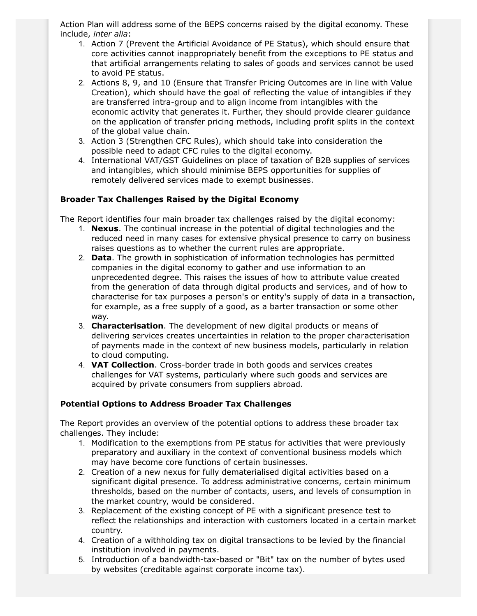Action Plan will address some of the BEPS concerns raised by the digital economy. These include, *inter alia*:

- 1. Action 7 (Prevent the Artificial Avoidance of PE Status), which should ensure that core activities cannot inappropriately benefit from the exceptions to PE status and that artificial arrangements relating to sales of goods and services cannot be used to avoid PE status.
- 2. Actions 8, 9, and 10 (Ensure that Transfer Pricing Outcomes are in line with Value Creation), which should have the goal of reflecting the value of intangibles if they are transferred intra-group and to align income from intangibles with the economic activity that generates it. Further, they should provide clearer guidance on the application of transfer pricing methods, including profit splits in the context of the global value chain.
- 3. Action 3 (Strengthen CFC Rules), which should take into consideration the possible need to adapt CFC rules to the digital economy.
- 4. International VAT/GST Guidelines on place of taxation of B2B supplies of services and intangibles, which should minimise BEPS opportunities for supplies of remotely delivered services made to exempt businesses.

# **Broader Tax Challenges Raised by the Digital Economy**

The Report identifies four main broader tax challenges raised by the digital economy:

- 1. **Nexus**. The continual increase in the potential of digital technologies and the reduced need in many cases for extensive physical presence to carry on business raises questions as to whether the current rules are appropriate.
- 2. **Data**. The growth in sophistication of information technologies has permitted companies in the digital economy to gather and use information to an unprecedented degree. This raises the issues of how to attribute value created from the generation of data through digital products and services, and of how to characterise for tax purposes a person's or entity's supply of data in a transaction, for example, as a free supply of a good, as a barter transaction or some other way.
- 3. **Characterisation**. The development of new digital products or means of delivering services creates uncertainties in relation to the proper characterisation of payments made in the context of new business models, particularly in relation to cloud computing.
- 4. **VAT Collection**. Cross-border trade in both goods and services creates challenges for VAT systems, particularly where such goods and services are acquired by private consumers from suppliers abroad.

## **Potential Options to Address Broader Tax Challenges**

The Report provides an overview of the potential options to address these broader tax challenges. They include:

- 1. Modification to the exemptions from PE status for activities that were previously preparatory and auxiliary in the context of conventional business models which may have become core functions of certain businesses.
- 2. Creation of a new nexus for fully dematerialised digital activities based on a significant digital presence. To address administrative concerns, certain minimum thresholds, based on the number of contacts, users, and levels of consumption in the market country, would be considered.
- 3. Replacement of the existing concept of PE with a significant presence test to reflect the relationships and interaction with customers located in a certain market country.
- 4. Creation of a withholding tax on digital transactions to be levied by the financial institution involved in payments.
- 5. Introduction of a bandwidth-tax-based or "Bit" tax on the number of bytes used by websites (creditable against corporate income tax).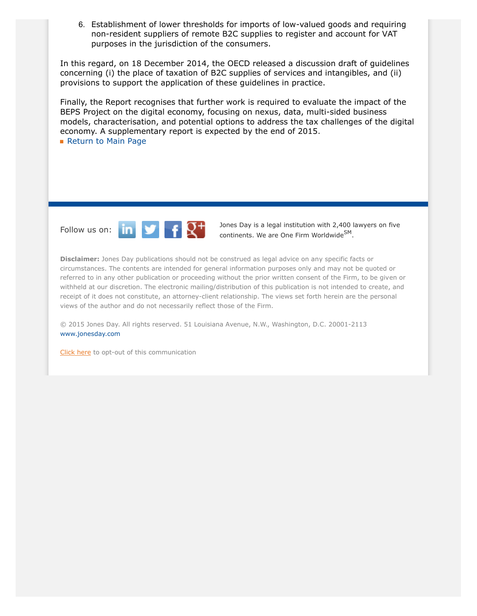6. Establishment of lower thresholds for imports of low-valued goods and requiring non-resident suppliers of remote B2C supplies to register and account for VAT purposes in the jurisdiction of the consumers.

In this regard, on 18 December 2014, the OECD released a discussion draft of guidelines concerning (i) the place of taxation of B2C supplies of services and intangibles, and (ii) provisions to support the application of these guidelines in practice.

Finally, the Report recognises that further work is required to evaluate the impact of the BEPS Project on the digital economy, focusing on nexus, data, multi-sided business models, characterisation, and potential options to address the tax challenges of the digital economy. A supplementary report is expected by the end of 2015.

**[Return to Main Page](http://thewritestuff.jonesday.com/cv/21dee491f2985a655505c20e8dffde86a8e5654a/p=0)** 



Follow us on:  $\begin{array}{|c|c|c|c|}\n\hline\n\text{In} & \text{I} & \text{I} \\
\hline\n\text{I} & \text{I} & \text{I} \\
\hline\n\end{array}$  bones Day is a legal institution with 2,400 lawyers on five continents. We are One Firm Worldwide<sup>SM</sup>.

**Disclaimer:** Jones Day publications should not be construed as legal advice on any specific facts or circumstances. The contents are intended for general information purposes only and may not be quoted or referred to in any other publication or proceeding without the prior written consent of the Firm, to be given or withheld at our discretion. The electronic mailing/distribution of this publication is not intended to create, and receipt of it does not constitute, an attorney-client relationship. The views set forth herein are the personal views of the author and do not necessarily reflect those of the Firm.

© 2015 Jones Day. All rights reserved. 51 Louisiana Avenue, N.W., Washington, D.C. 20001-2113 [www.jonesday.com](http://www.jonesday.com)

[Click here](http://thewritestuff.jonesday.com/ro/) to opt-out of this communication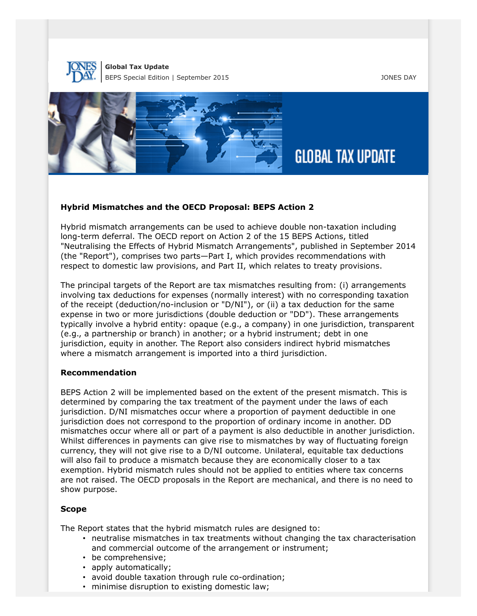



# **Hybrid Mismatches and the OECD Proposal: BEPS Action 2**

Hybrid mismatch arrangements can be used to achieve double non-taxation including long-term deferral. The OECD report on Action 2 of the 15 BEPS Actions, titled "Neutralising the Effects of Hybrid Mismatch Arrangements", published in September 2014 (the "Report"), comprises two parts—Part I, which provides recommendations with respect to domestic law provisions, and Part II, which relates to treaty provisions.

The principal targets of the Report are tax mismatches resulting from: (i) arrangements involving tax deductions for expenses (normally interest) with no corresponding taxation of the receipt (deduction/no-inclusion or "D/NI"), or (ii) a tax deduction for the same expense in two or more jurisdictions (double deduction or "DD"). These arrangements typically involve a hybrid entity: opaque (e.g., a company) in one jurisdiction, transparent (e.g., a partnership or branch) in another; or a hybrid instrument; debt in one jurisdiction, equity in another. The Report also considers indirect hybrid mismatches where a mismatch arrangement is imported into a third jurisdiction.

## **Recommendation**

BEPS Action 2 will be implemented based on the extent of the present mismatch. This is determined by comparing the tax treatment of the payment under the laws of each jurisdiction. D/NI mismatches occur where a proportion of payment deductible in one jurisdiction does not correspond to the proportion of ordinary income in another. DD mismatches occur where all or part of a payment is also deductible in another jurisdiction. Whilst differences in payments can give rise to mismatches by way of fluctuating foreign currency, they will not give rise to a D/NI outcome. Unilateral, equitable tax deductions will also fail to produce a mismatch because they are economically closer to a tax exemption. Hybrid mismatch rules should not be applied to entities where tax concerns are not raised. The OECD proposals in the Report are mechanical, and there is no need to show purpose.

## **Scope**

The Report states that the hybrid mismatch rules are designed to:

- neutralise mismatches in tax treatments without changing the tax characterisation and commercial outcome of the arrangement or instrument;
- be comprehensive;
- apply automatically;
- avoid double taxation through rule co-ordination;
- minimise disruption to existing domestic law;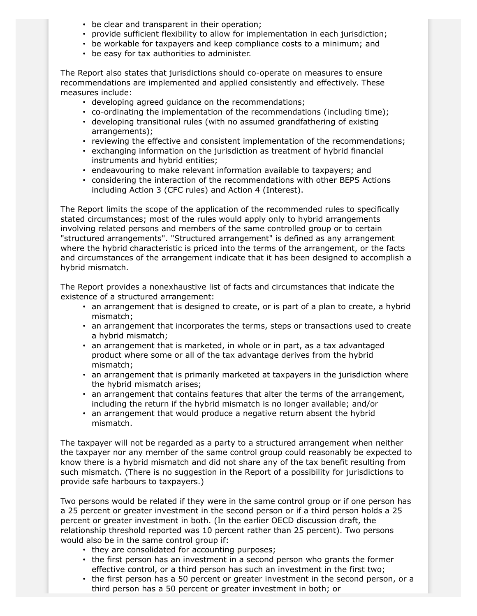- be clear and transparent in their operation;
- provide sufficient flexibility to allow for implementation in each jurisdiction;
- be workable for taxpayers and keep compliance costs to a minimum; and
- be easy for tax authorities to administer.

The Report also states that jurisdictions should co-operate on measures to ensure recommendations are implemented and applied consistently and effectively. These measures include:

- developing agreed guidance on the recommendations;
- co-ordinating the implementation of the recommendations (including time);
- developing transitional rules (with no assumed grandfathering of existing arrangements);
- reviewing the effective and consistent implementation of the recommendations;
- exchanging information on the jurisdiction as treatment of hybrid financial instruments and hybrid entities;
- endeavouring to make relevant information available to taxpayers; and
- considering the interaction of the recommendations with other BEPS Actions including Action 3 (CFC rules) and Action 4 (Interest).

The Report limits the scope of the application of the recommended rules to specifically stated circumstances; most of the rules would apply only to hybrid arrangements involving related persons and members of the same controlled group or to certain "structured arrangements". "Structured arrangement" is defined as any arrangement where the hybrid characteristic is priced into the terms of the arrangement, or the facts and circumstances of the arrangement indicate that it has been designed to accomplish a hybrid mismatch.

The Report provides a nonexhaustive list of facts and circumstances that indicate the existence of a structured arrangement:

- an arrangement that is designed to create, or is part of a plan to create, a hybrid mismatch;
- an arrangement that incorporates the terms, steps or transactions used to create a hybrid mismatch;
- an arrangement that is marketed, in whole or in part, as a tax advantaged product where some or all of the tax advantage derives from the hybrid mismatch;
- an arrangement that is primarily marketed at taxpayers in the jurisdiction where the hybrid mismatch arises;
- an arrangement that contains features that alter the terms of the arrangement, including the return if the hybrid mismatch is no longer available; and/or
- an arrangement that would produce a negative return absent the hybrid mismatch.

The taxpayer will not be regarded as a party to a structured arrangement when neither the taxpayer nor any member of the same control group could reasonably be expected to know there is a hybrid mismatch and did not share any of the tax benefit resulting from such mismatch. (There is no suggestion in the Report of a possibility for jurisdictions to provide safe harbours to taxpayers.)

Two persons would be related if they were in the same control group or if one person has a 25 percent or greater investment in the second person or if a third person holds a 25 percent or greater investment in both. (In the earlier OECD discussion draft, the relationship threshold reported was 10 percent rather than 25 percent). Two persons would also be in the same control group if:

- they are consolidated for accounting purposes;
- the first person has an investment in a second person who grants the former effective control, or a third person has such an investment in the first two;
- the first person has a 50 percent or greater investment in the second person, or a third person has a 50 percent or greater investment in both; or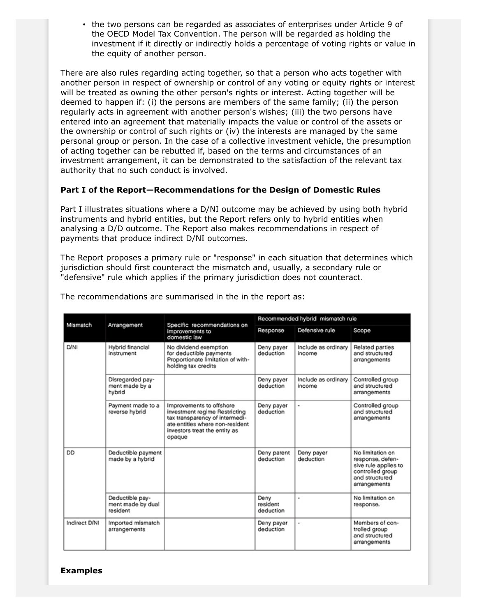• the two persons can be regarded as associates of enterprises under Article 9 of the OECD Model Tax Convention. The person will be regarded as holding the investment if it directly or indirectly holds a percentage of voting rights or value in the equity of another person.

There are also rules regarding acting together, so that a person who acts together with another person in respect of ownership or control of any voting or equity rights or interest will be treated as owning the other person's rights or interest. Acting together will be deemed to happen if: (i) the persons are members of the same family; (ii) the person regularly acts in agreement with another person's wishes; (iii) the two persons have entered into an agreement that materially impacts the value or control of the assets or the ownership or control of such rights or (iv) the interests are managed by the same personal group or person. In the case of a collective investment vehicle, the presumption of acting together can be rebutted if, based on the terms and circumstances of an investment arrangement, it can be demonstrated to the satisfaction of the relevant tax authority that no such conduct is involved.

# **Part I of the Report—Recommendations for the Design of Domestic Rules**

Part I illustrates situations where a D/NI outcome may be achieved by using both hybrid instruments and hybrid entities, but the Report refers only to hybrid entities when analysing a D/D outcome. The Report also makes recommendations in respect of payments that produce indirect D/NI outcomes.

The Report proposes a primary rule or "response" in each situation that determines which jurisdiction should first counteract the mismatch and, usually, a secondary rule or "defensive" rule which applies if the primary jurisdiction does not counteract.

| Mismatch      | Arrangement                                      | Specific recommendations on<br>improvements to<br>domestic law                                                                                                            | Recommended hybrid mismatch rule |                               |                                                                                                                    |
|---------------|--------------------------------------------------|---------------------------------------------------------------------------------------------------------------------------------------------------------------------------|----------------------------------|-------------------------------|--------------------------------------------------------------------------------------------------------------------|
|               |                                                  |                                                                                                                                                                           | Response                         | Defensive rule                | Scope                                                                                                              |
| D/NI          | Hybrid financial<br>instrument                   | No dividend exemption<br>for deductible payments<br>Proportionate limitation of with-<br>holding tax credits                                                              | Deny payer<br>deduction          | Include as ordinary<br>income | Related parties<br>and structured<br>arrangements                                                                  |
|               | Disregarded pay-<br>ment made by a<br>hybrid     |                                                                                                                                                                           | Deny payer<br>deduction          | Include as ordinary<br>income | Controlled group<br>and structured<br>arrangements                                                                 |
|               | Payment made to a<br>reverse hybrid              | Improvements to offshore<br>investment regime Restricting<br>tax transparency of intermedi-<br>ate entities where non-resident<br>investors treat the entity as<br>opaque | Deny payer<br>deduction          | ۰                             | Controlled group<br>and structured<br>arrangements                                                                 |
| DD            | Deductible payment<br>made by a hybrid           |                                                                                                                                                                           | Deny parent<br>deduction         | Deny payer<br>deduction       | No limitation on<br>response, defen-<br>sive rule applies to<br>controlled group<br>and structured<br>arrangements |
|               | Deductible pay-<br>ment made by dual<br>resident |                                                                                                                                                                           | Deny<br>resident<br>deduction    | ٠                             | No limitation on<br>response.                                                                                      |
| Indirect D/NI | Imported mismatch<br>arrangements                |                                                                                                                                                                           | Deny payer<br>deduction          | $\blacksquare$                | Members of con-<br>trolled group<br>and structured<br>arrangements                                                 |

The recommendations are summarised in the in the report as:

# **Examples**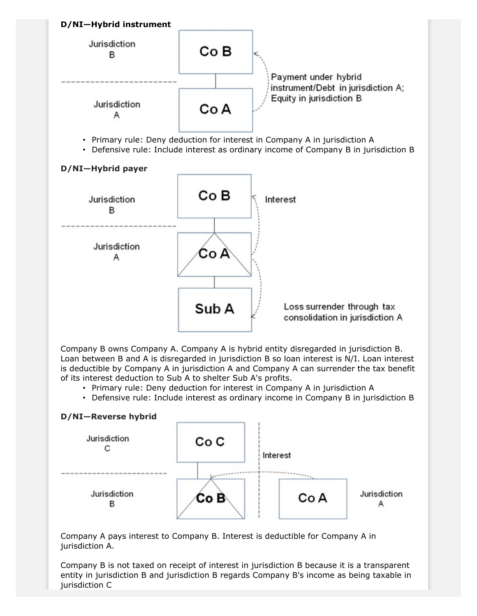

Company B owns Company A. Company A is hybrid entity disregarded in jurisdiction B. Loan between B and A is disregarded in jurisdiction B so loan interest is N/I. Loan interest is deductible by Company A in jurisdiction A and Company A can surrender the tax benefit of its interest deduction to Sub A to shelter Sub A's profits.

- Primary rule: Deny deduction for interest in Company A in jurisdiction A
- Defensive rule: Include interest as ordinary income in Company B in jurisdiction B

## **D/NI—Reverse hybrid**



Company A pays interest to Company B. Interest is deductible for Company A in jurisdiction A.

Company B is not taxed on receipt of interest in jurisdiction B because it is a transparent entity in jurisdiction B and jurisdiction B regards Company B's income as being taxable in jurisdiction C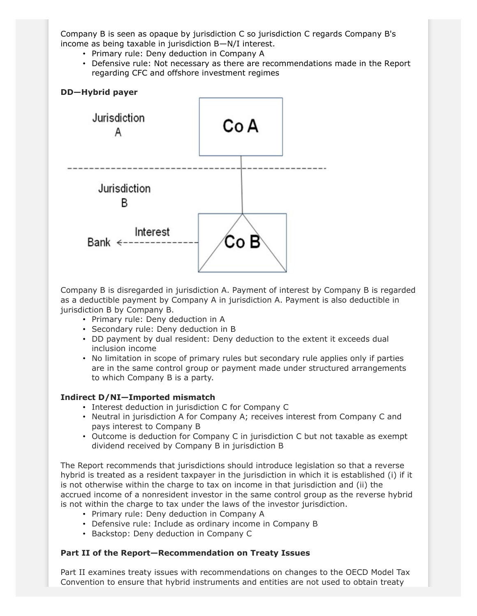Company B is seen as opaque by jurisdiction C so jurisdiction C regards Company B's income as being taxable in jurisdiction B—N/I interest.

- Primary rule: Deny deduction in Company A
- Defensive rule: Not necessary as there are recommendations made in the Report regarding CFC and offshore investment regimes



Company B is disregarded in jurisdiction A. Payment of interest by Company B is regarded as a deductible payment by Company A in jurisdiction A. Payment is also deductible in jurisdiction B by Company B.

- Primary rule: Deny deduction in A
- Secondary rule: Deny deduction in B
- DD payment by dual resident: Deny deduction to the extent it exceeds dual inclusion income
- No limitation in scope of primary rules but secondary rule applies only if parties are in the same control group or payment made under structured arrangements to which Company B is a party.

# **Indirect D/NI—Imported mismatch**

- Interest deduction in jurisdiction C for Company C
- Neutral in jurisdiction A for Company A; receives interest from Company C and pays interest to Company B
- Outcome is deduction for Company C in jurisdiction C but not taxable as exempt dividend received by Company B in jurisdiction B

The Report recommends that jurisdictions should introduce legislation so that a reverse hybrid is treated as a resident taxpayer in the jurisdiction in which it is established (i) if it is not otherwise within the charge to tax on income in that jurisdiction and (ii) the accrued income of a nonresident investor in the same control group as the reverse hybrid is not within the charge to tax under the laws of the investor jurisdiction.

- Primary rule: Deny deduction in Company A
- Defensive rule: Include as ordinary income in Company B
- Backstop: Deny deduction in Company C

## **Part II of the Report—Recommendation on Treaty Issues**

Part II examines treaty issues with recommendations on changes to the OECD Model Tax Convention to ensure that hybrid instruments and entities are not used to obtain treaty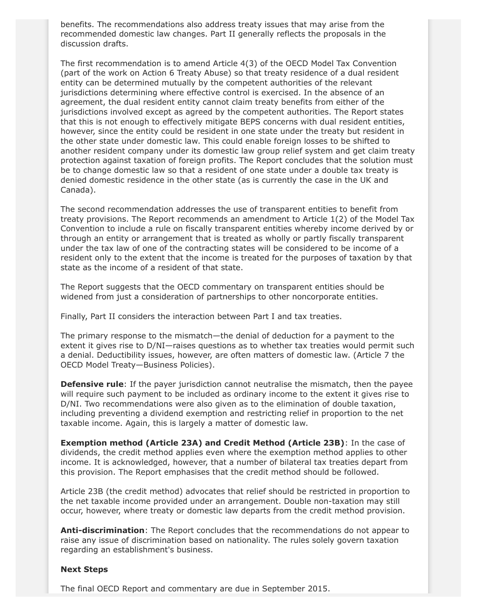benefits. The recommendations also address treaty issues that may arise from the recommended domestic law changes. Part II generally reflects the proposals in the discussion drafts.

The first recommendation is to amend Article 4(3) of the OECD Model Tax Convention (part of the work on Action 6 Treaty Abuse) so that treaty residence of a dual resident entity can be determined mutually by the competent authorities of the relevant jurisdictions determining where effective control is exercised. In the absence of an agreement, the dual resident entity cannot claim treaty benefits from either of the jurisdictions involved except as agreed by the competent authorities. The Report states that this is not enough to effectively mitigate BEPS concerns with dual resident entities, however, since the entity could be resident in one state under the treaty but resident in the other state under domestic law. This could enable foreign losses to be shifted to another resident company under its domestic law group relief system and get claim treaty protection against taxation of foreign profits. The Report concludes that the solution must be to change domestic law so that a resident of one state under a double tax treaty is denied domestic residence in the other state (as is currently the case in the UK and Canada).

The second recommendation addresses the use of transparent entities to benefit from treaty provisions. The Report recommends an amendment to Article 1(2) of the Model Tax Convention to include a rule on fiscally transparent entities whereby income derived by or through an entity or arrangement that is treated as wholly or partly fiscally transparent under the tax law of one of the contracting states will be considered to be income of a resident only to the extent that the income is treated for the purposes of taxation by that state as the income of a resident of that state.

The Report suggests that the OECD commentary on transparent entities should be widened from just a consideration of partnerships to other noncorporate entities.

Finally, Part II considers the interaction between Part I and tax treaties.

The primary response to the mismatch—the denial of deduction for a payment to the extent it gives rise to D/NI—raises questions as to whether tax treaties would permit such a denial. Deductibility issues, however, are often matters of domestic law. (Article 7 the OECD Model Treaty—Business Policies).

**Defensive rule**: If the payer jurisdiction cannot neutralise the mismatch, then the payee will require such payment to be included as ordinary income to the extent it gives rise to D/NI. Two recommendations were also given as to the elimination of double taxation, including preventing a dividend exemption and restricting relief in proportion to the net taxable income. Again, this is largely a matter of domestic law.

**Exemption method (Article 23A) and Credit Method (Article 23B)**: In the case of dividends, the credit method applies even where the exemption method applies to other income. It is acknowledged, however, that a number of bilateral tax treaties depart from this provision. The Report emphasises that the credit method should be followed.

Article 23B (the credit method) advocates that relief should be restricted in proportion to the net taxable income provided under an arrangement. Double non-taxation may still occur, however, where treaty or domestic law departs from the credit method provision.

**Anti-discrimination**: The Report concludes that the recommendations do not appear to raise any issue of discrimination based on nationality. The rules solely govern taxation regarding an establishment's business.

#### **Next Steps**

The final OECD Report and commentary are due in September 2015.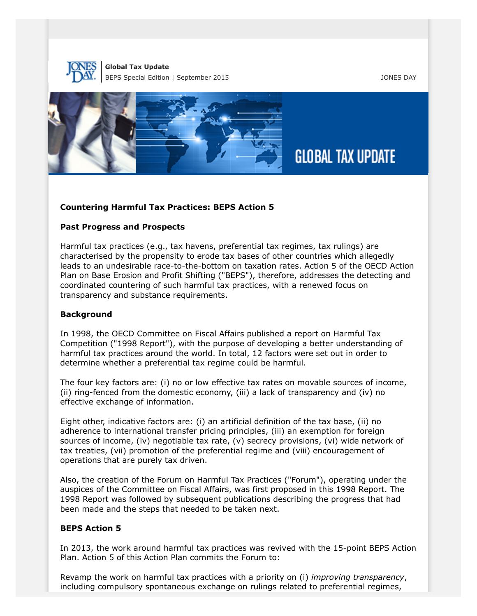



## **Countering Harmful Tax Practices: BEPS Action 5**

## **Past Progress and Prospects**

Harmful tax practices (e.g., tax havens, preferential tax regimes, tax rulings) are characterised by the propensity to erode tax bases of other countries which allegedly leads to an undesirable race-to-the-bottom on taxation rates. Action 5 of the OECD Action Plan on Base Erosion and Profit Shifting ("BEPS"), therefore, addresses the detecting and coordinated countering of such harmful tax practices, with a renewed focus on transparency and substance requirements.

## **Background**

In 1998, the OECD Committee on Fiscal Affairs published a report on Harmful Tax Competition ("1998 Report"), with the purpose of developing a better understanding of harmful tax practices around the world. In total, 12 factors were set out in order to determine whether a preferential tax regime could be harmful.

The four key factors are: (i) no or low effective tax rates on movable sources of income, (ii) ring-fenced from the domestic economy, (iii) a lack of transparency and (iv) no effective exchange of information.

Eight other, indicative factors are: (i) an artificial definition of the tax base, (ii) no adherence to international transfer pricing principles, (iii) an exemption for foreign sources of income, (iv) negotiable tax rate, (v) secrecy provisions, (vi) wide network of tax treaties, (vii) promotion of the preferential regime and (viii) encouragement of operations that are purely tax driven.

Also, the creation of the Forum on Harmful Tax Practices ("Forum"), operating under the auspices of the Committee on Fiscal Affairs, was first proposed in this 1998 Report. The 1998 Report was followed by subsequent publications describing the progress that had been made and the steps that needed to be taken next.

## **BEPS Action 5**

In 2013, the work around harmful tax practices was revived with the 15-point BEPS Action Plan. Action 5 of this Action Plan commits the Forum to:

Revamp the work on harmful tax practices with a priority on (i) *improving transparency*, including compulsory spontaneous exchange on rulings related to preferential regimes,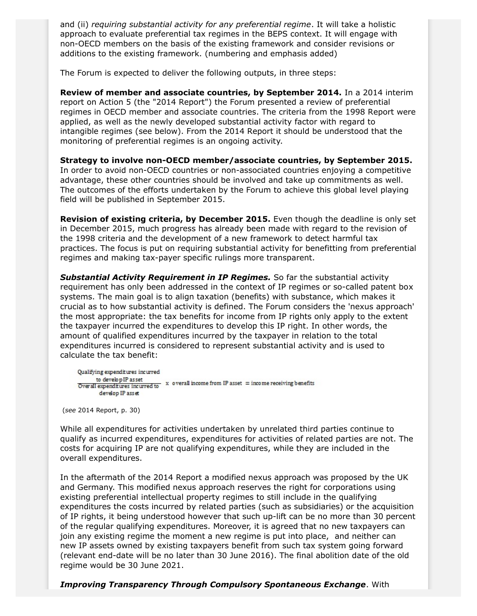and (ii) *requiring substantial activity for any preferential regime*. It will take a holistic approach to evaluate preferential tax regimes in the BEPS context. It will engage with non-OECD members on the basis of the existing framework and consider revisions or additions to the existing framework. (numbering and emphasis added)

The Forum is expected to deliver the following outputs, in three steps:

**Review of member and associate countries, by September 2014.** In a 2014 interim report on Action 5 (the "2014 Report") the Forum presented a review of preferential regimes in OECD member and associate countries. The criteria from the 1998 Report were applied, as well as the newly developed substantial activity factor with regard to intangible regimes (see below). From the 2014 Report it should be understood that the monitoring of preferential regimes is an ongoing activity.

**Strategy to involve non-OECD member/associate countries, by September 2015.** In order to avoid non-OECD countries or non-associated countries enjoying a competitive advantage, these other countries should be involved and take up commitments as well. The outcomes of the efforts undertaken by the Forum to achieve this global level playing field will be published in September 2015.

**Revision of existing criteria, by December 2015.** Even though the deadline is only set in December 2015, much progress has already been made with regard to the revision of the 1998 criteria and the development of a new framework to detect harmful tax practices. The focus is put on requiring substantial activity for benefitting from preferential regimes and making tax-payer specific rulings more transparent.

*Substantial Activity Requirement in IP Regimes.* So far the substantial activity requirement has only been addressed in the context of IP regimes or so-called patent box systems. The main goal is to align taxation (benefits) with substance, which makes it crucial as to how substantial activity is defined. The Forum considers the 'nexus approach' the most appropriate: the tax benefits for income from IP rights only apply to the extent the taxpayer incurred the expenditures to develop this IP right. In other words, the amount of qualified expenditures incurred by the taxpayer in relation to the total expenditures incurred is considered to represent substantial activity and is used to calculate the tax benefit:

Qualifying expenditures incurred to develop IP asset to develop IP asset  $\overline{O}$  verally income from IP asset  $=$  income receiving benefits  $\overline{O}$  verall expenditures incurred to develop IP asset

(*see* 2014 Report, p. 30)

While all expenditures for activities undertaken by unrelated third parties continue to qualify as incurred expenditures, expenditures for activities of related parties are not. The costs for acquiring IP are not qualifying expenditures, while they are included in the overall expenditures.

In the aftermath of the 2014 Report a modified nexus approach was proposed by the UK and Germany. This modified nexus approach reserves the right for corporations using existing preferential intellectual property regimes to still include in the qualifying expenditures the costs incurred by related parties (such as subsidiaries) or the acquisition of IP rights, it being understood however that such up-lift can be no more than 30 percent of the regular qualifying expenditures. Moreover, it is agreed that no new taxpayers can join any existing regime the moment a new regime is put into place, and neither can new IP assets owned by existing taxpayers benefit from such tax system going forward (relevant end-date will be no later than 30 June 2016). The final abolition date of the old regime would be 30 June 2021.

*Improving Transparency Through Compulsory Spontaneous Exchange*. With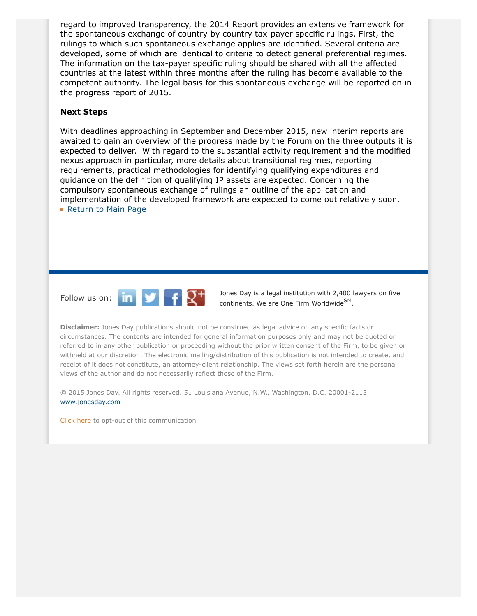regard to improved transparency, the 2014 Report provides an extensive framework for the spontaneous exchange of country by country tax-payer specific rulings. First, the rulings to which such spontaneous exchange applies are identified. Several criteria are developed, some of which are identical to criteria to detect general preferential regimes. The information on the tax-payer specific ruling should be shared with all the affected countries at the latest within three months after the ruling has become available to the competent authority. The legal basis for this spontaneous exchange will be reported on in the progress report of 2015.

#### **Next Steps**

With deadlines approaching in September and December 2015, new interim reports are awaited to gain an overview of the progress made by the Forum on the three outputs it is expected to deliver. With regard to the substantial activity requirement and the modified nexus approach in particular, more details about transitional regimes, reporting requirements, practical methodologies for identifying qualifying expenditures and guidance on the definition of qualifying IP assets are expected. Concerning the compulsory spontaneous exchange of rulings an outline of the application and implementation of the developed framework are expected to come out relatively soon. **[Return to Main Page](http://thewritestuff.jonesday.com/cv/21dee491f2985a655505c20e8dffde86a8e5654a/p=0)** 



Follow us on:  $\begin{array}{|c|c|c|c|}\n\hline\n\text{In} & \text{I} & \text{J} \\
\hline\n\end{array}$  Jones Day is a legal institution with 2,400 lawyers on five continents. We are One Firm Worldwide<sup>SM</sup>.

**Disclaimer:** Jones Day publications should not be construed as legal advice on any specific facts or circumstances. The contents are intended for general information purposes only and may not be quoted or referred to in any other publication or proceeding without the prior written consent of the Firm, to be given or withheld at our discretion. The electronic mailing/distribution of this publication is not intended to create, and receipt of it does not constitute, an attorney-client relationship. The views set forth herein are the personal views of the author and do not necessarily reflect those of the Firm.

© 2015 Jones Day. All rights reserved. 51 Louisiana Avenue, N.W., Washington, D.C. 20001-2113 [www.jonesday.com](http://www.jonesday.com)

[Click here](http://thewritestuff.jonesday.com/ro/) to opt-out of this communication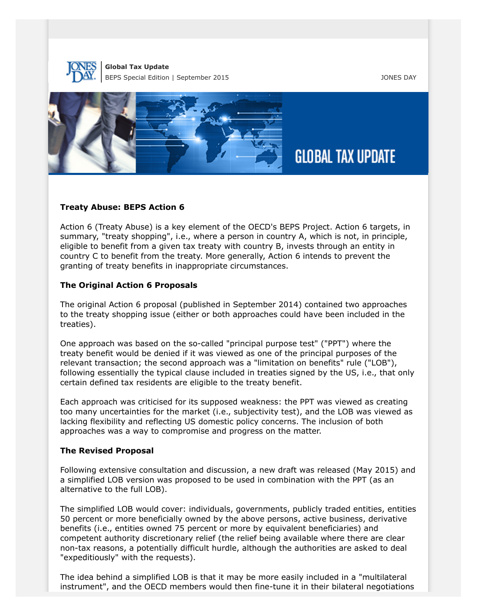



## **Treaty Abuse: BEPS Action 6**

Action 6 (Treaty Abuse) is a key element of the OECD's BEPS Project. Action 6 targets, in summary, "treaty shopping", i.e., where a person in country A, which is not, in principle, eligible to benefit from a given tax treaty with country B, invests through an entity in country C to benefit from the treaty. More generally, Action 6 intends to prevent the granting of treaty benefits in inappropriate circumstances.

## **The Original Action 6 Proposals**

The original Action 6 proposal (published in September 2014) contained two approaches to the treaty shopping issue (either or both approaches could have been included in the treaties).

One approach was based on the so-called "principal purpose test" ("PPT") where the treaty benefit would be denied if it was viewed as one of the principal purposes of the relevant transaction; the second approach was a "limitation on benefits" rule ("LOB"), following essentially the typical clause included in treaties signed by the US, i.e., that only certain defined tax residents are eligible to the treaty benefit.

Each approach was criticised for its supposed weakness: the PPT was viewed as creating too many uncertainties for the market (i.e., subjectivity test), and the LOB was viewed as lacking flexibility and reflecting US domestic policy concerns. The inclusion of both approaches was a way to compromise and progress on the matter.

## **The Revised Proposal**

Following extensive consultation and discussion, a new draft was released (May 2015) and a simplified LOB version was proposed to be used in combination with the PPT (as an alternative to the full LOB).

The simplified LOB would cover: individuals, governments, publicly traded entities, entities 50 percent or more beneficially owned by the above persons, active business, derivative benefits (i.e., entities owned 75 percent or more by equivalent beneficiaries) and competent authority discretionary relief (the relief being available where there are clear non-tax reasons, a potentially difficult hurdle, although the authorities are asked to deal "expeditiously" with the requests).

The idea behind a simplified LOB is that it may be more easily included in a "multilateral instrument", and the OECD members would then fine-tune it in their bilateral negotiations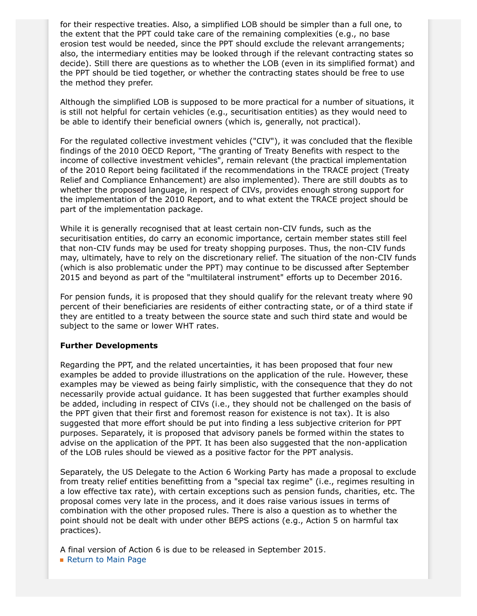for their respective treaties. Also, a simplified LOB should be simpler than a full one, to the extent that the PPT could take care of the remaining complexities (e.g., no base erosion test would be needed, since the PPT should exclude the relevant arrangements; also, the intermediary entities may be looked through if the relevant contracting states so decide). Still there are questions as to whether the LOB (even in its simplified format) and the PPT should be tied together, or whether the contracting states should be free to use the method they prefer.

Although the simplified LOB is supposed to be more practical for a number of situations, it is still not helpful for certain vehicles (e.g., securitisation entities) as they would need to be able to identify their beneficial owners (which is, generally, not practical).

For the regulated collective investment vehicles ("CIV"), it was concluded that the flexible findings of the 2010 OECD Report, "The granting of Treaty Benefits with respect to the income of collective investment vehicles", remain relevant (the practical implementation of the 2010 Report being facilitated if the recommendations in the TRACE project (Treaty Relief and Compliance Enhancement) are also implemented). There are still doubts as to whether the proposed language, in respect of CIVs, provides enough strong support for the implementation of the 2010 Report, and to what extent the TRACE project should be part of the implementation package.

While it is generally recognised that at least certain non-CIV funds, such as the securitisation entities, do carry an economic importance, certain member states still feel that non-CIV funds may be used for treaty shopping purposes. Thus, the non-CIV funds may, ultimately, have to rely on the discretionary relief. The situation of the non-CIV funds (which is also problematic under the PPT) may continue to be discussed after September 2015 and beyond as part of the "multilateral instrument" efforts up to December 2016.

For pension funds, it is proposed that they should qualify for the relevant treaty where 90 percent of their beneficiaries are residents of either contracting state, or of a third state if they are entitled to a treaty between the source state and such third state and would be subject to the same or lower WHT rates.

#### **Further Developments**

Regarding the PPT, and the related uncertainties, it has been proposed that four new examples be added to provide illustrations on the application of the rule. However, these examples may be viewed as being fairly simplistic, with the consequence that they do not necessarily provide actual guidance. It has been suggested that further examples should be added, including in respect of CIVs (i.e., they should not be challenged on the basis of the PPT given that their first and foremost reason for existence is not tax). It is also suggested that more effort should be put into finding a less subjective criterion for PPT purposes. Separately, it is proposed that advisory panels be formed within the states to advise on the application of the PPT. It has been also suggested that the non-application of the LOB rules should be viewed as a positive factor for the PPT analysis.

Separately, the US Delegate to the Action 6 Working Party has made a proposal to exclude from treaty relief entities benefitting from a "special tax regime" (i.e., regimes resulting in a low effective tax rate), with certain exceptions such as pension funds, charities, etc. The proposal comes very late in the process, and it does raise various issues in terms of combination with the other proposed rules. There is also a question as to whether the point should not be dealt with under other BEPS actions (e.g., Action 5 on harmful tax practices).

A final version of Action 6 is due to be released in September 2015.

**[Return to Main Page](http://thewritestuff.jonesday.com/cv/21dee491f2985a655505c20e8dffde86a8e5654a/p=0)**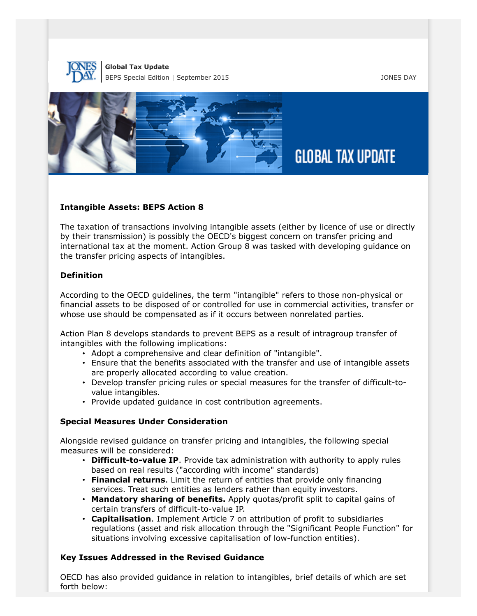



## **Intangible Assets: BEPS Action 8**

The taxation of transactions involving intangible assets (either by licence of use or directly by their transmission) is possibly the OECD's biggest concern on transfer pricing and international tax at the moment. Action Group 8 was tasked with developing guidance on the transfer pricing aspects of intangibles.

#### **Definition**

According to the OECD guidelines, the term "intangible" refers to those non-physical or financial assets to be disposed of or controlled for use in commercial activities, transfer or whose use should be compensated as if it occurs between nonrelated parties.

Action Plan 8 develops standards to prevent BEPS as a result of intragroup transfer of intangibles with the following implications:

- Adopt a comprehensive and clear definition of "intangible".
- Ensure that the benefits associated with the transfer and use of intangible assets are properly allocated according to value creation.
- Develop transfer pricing rules or special measures for the transfer of difficult-tovalue intangibles.
- Provide updated guidance in cost contribution agreements.

## **Special Measures Under Consideration**

Alongside revised guidance on transfer pricing and intangibles, the following special measures will be considered:

- **Difficult-to-value IP**. Provide tax administration with authority to apply rules based on real results ("according with income" standards)
- **Financial returns**. Limit the return of entities that provide only financing services. Treat such entities as lenders rather than equity investors.
- **Mandatory sharing of benefits.** Apply quotas/profit split to capital gains of certain transfers of difficult-to-value IP.
- **Capitalisation**. Implement Article 7 on attribution of profit to subsidiaries regulations (asset and risk allocation through the "Significant People Function" for situations involving excessive capitalisation of low-function entities).

## **Key Issues Addressed in the Revised Guidance**

OECD has also provided guidance in relation to intangibles, brief details of which are set forth below: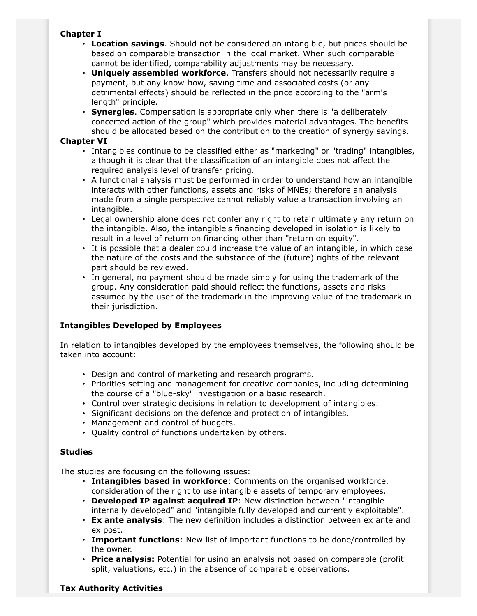# **Chapter I**

- **Location savings**. Should not be considered an intangible, but prices should be based on comparable transaction in the local market. When such comparable cannot be identified, comparability adjustments may be necessary.
- **Uniquely assembled workforce**. Transfers should not necessarily require a payment, but any know-how, saving time and associated costs (or any detrimental effects) should be reflected in the price according to the "arm's length" principle.
- **Synergies**. Compensation is appropriate only when there is "a deliberately concerted action of the group" which provides material advantages. The benefits should be allocated based on the contribution to the creation of synergy savings.

# **Chapter VI**

- Intangibles continue to be classified either as "marketing" or "trading" intangibles, although it is clear that the classification of an intangible does not affect the required analysis level of transfer pricing.
- A functional analysis must be performed in order to understand how an intangible interacts with other functions, assets and risks of MNEs; therefore an analysis made from a single perspective cannot reliably value a transaction involving an intangible.
- Legal ownership alone does not confer any right to retain ultimately any return on the intangible. Also, the intangible's financing developed in isolation is likely to result in a level of return on financing other than "return on equity".
- It is possible that a dealer could increase the value of an intangible, in which case the nature of the costs and the substance of the (future) rights of the relevant part should be reviewed.
- In general, no payment should be made simply for using the trademark of the group. Any consideration paid should reflect the functions, assets and risks assumed by the user of the trademark in the improving value of the trademark in their jurisdiction.

# **Intangibles Developed by Employees**

In relation to intangibles developed by the employees themselves, the following should be taken into account:

- Design and control of marketing and research programs.
- Priorities setting and management for creative companies, including determining the course of a "blue-sky" investigation or a basic research.
- Control over strategic decisions in relation to development of intangibles.
- Significant decisions on the defence and protection of intangibles.
- Management and control of budgets.
- Quality control of functions undertaken by others.

# **Studies**

The studies are focusing on the following issues:

- **Intangibles based in workforce**: Comments on the organised workforce, consideration of the right to use intangible assets of temporary employees.
- **Developed IP against acquired IP**: New distinction between "intangible internally developed" and "intangible fully developed and currently exploitable".
- **Ex ante analysis**: The new definition includes a distinction between ex ante and ex post.
- **Important functions**: New list of important functions to be done/controlled by the owner.
- **Price analysis:** Potential for using an analysis not based on comparable (profit split, valuations, etc.) in the absence of comparable observations.

# **Tax Authority Activities**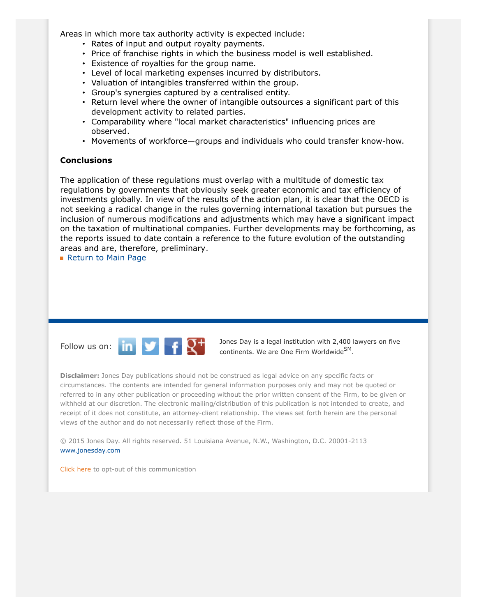Areas in which more tax authority activity is expected include:

- Rates of input and output royalty payments.
- Price of franchise rights in which the business model is well established.
- Existence of royalties for the group name.
- Level of local marketing expenses incurred by distributors.
- Valuation of intangibles transferred within the group.
- Group's synergies captured by a centralised entity.
- Return level where the owner of intangible outsources a significant part of this development activity to related parties.
- Comparability where "local market characteristics" influencing prices are observed.
- Movements of workforce—groups and individuals who could transfer know-how.

#### **Conclusions**

The application of these regulations must overlap with a multitude of domestic tax regulations by governments that obviously seek greater economic and tax efficiency of investments globally. In view of the results of the action plan, it is clear that the OECD is not seeking a radical change in the rules governing international taxation but pursues the inclusion of numerous modifications and adjustments which may have a significant impact on the taxation of multinational companies. Further developments may be forthcoming, as the reports issued to date contain a reference to the future evolution of the outstanding areas and are, therefore, preliminary.

**[Return to Main Page](http://thewritestuff.jonesday.com/cv/21dee491f2985a655505c20e8dffde86a8e5654a/p=0)** 



Follow us on:  $\begin{array}{|c|c|c|c|c|}\n\hline\n\end{array}$   $\begin{array}{|c|c|c|c|}\n\hline\n\end{array}$  Dones Day is a legal institution with 2,400 lawyers on five continents. We are One Firm Worldwide<sup>SM</sup>.

**Disclaimer:** Jones Day publications should not be construed as legal advice on any specific facts or circumstances. The contents are intended for general information purposes only and may not be quoted or referred to in any other publication or proceeding without the prior written consent of the Firm, to be given or withheld at our discretion. The electronic mailing/distribution of this publication is not intended to create, and receipt of it does not constitute, an attorney-client relationship. The views set forth herein are the personal views of the author and do not necessarily reflect those of the Firm.

© 2015 Jones Day. All rights reserved. 51 Louisiana Avenue, N.W., Washington, D.C. 20001-2113 [www.jonesday.com](http://www.jonesday.com)

[Click here](http://thewritestuff.jonesday.com/ro/) to opt-out of this communication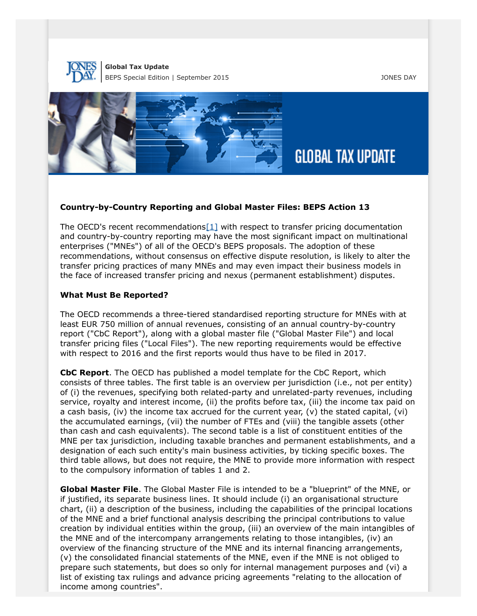



## **Country-by-Country Reporting and Global Master Files: BEPS Action 13**

<span id="page-19-0"></span>The OECD's recent recommendations $[1]$  with respect to transfer pricing documentation and country-by-country reporting may have the most significant impact on multinational enterprises ("MNEs") of all of the OECD's BEPS proposals. The adoption of these recommendations, without consensus on effective dispute resolution, is likely to alter the transfer pricing practices of many MNEs and may even impact their business models in the face of increased transfer pricing and nexus (permanent establishment) disputes.

#### **What Must Be Reported?**

The OECD recommends a three-tiered standardised reporting structure for MNEs with at least EUR 750 million of annual revenues, consisting of an annual country-by-country report ("CbC Report"), along with a global master file ("Global Master File") and local transfer pricing files ("Local Files"). The new reporting requirements would be effective with respect to 2016 and the first reports would thus have to be filed in 2017.

**CbC Report**. The OECD has published a model template for the CbC Report, which consists of three tables. The first table is an overview per jurisdiction (i.e., not per entity) of (i) the revenues, specifying both related-party and unrelated-party revenues, including service, royalty and interest income, (ii) the profits before tax, (iii) the income tax paid on a cash basis, (iv) the income tax accrued for the current year, (v) the stated capital, (vi) the accumulated earnings, (vii) the number of FTEs and (viii) the tangible assets (other than cash and cash equivalents). The second table is a list of constituent entities of the MNE per tax jurisdiction, including taxable branches and permanent establishments, and a designation of each such entity's main business activities, by ticking specific boxes. The third table allows, but does not require, the MNE to provide more information with respect to the compulsory information of tables 1 and 2.

**Global Master File**. The Global Master File is intended to be a "blueprint" of the MNE, or if justified, its separate business lines. It should include (i) an organisational structure chart, (ii) a description of the business, including the capabilities of the principal locations of the MNE and a brief functional analysis describing the principal contributions to value creation by individual entities within the group, (iii) an overview of the main intangibles of the MNE and of the intercompany arrangements relating to those intangibles, (iv) an overview of the financing structure of the MNE and its internal financing arrangements, (v) the consolidated financial statements of the MNE, even if the MNE is not obliged to prepare such statements, but does so only for internal management purposes and (vi) a list of existing tax rulings and advance pricing agreements "relating to the allocation of income among countries".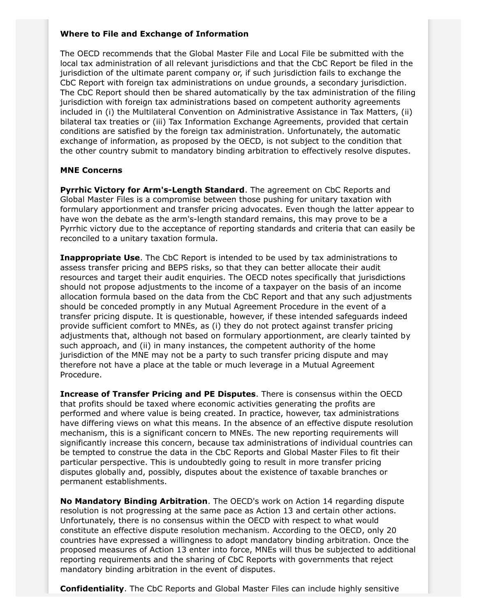# **Where to File and Exchange of Information**

The OECD recommends that the Global Master File and Local File be submitted with the local tax administration of all relevant jurisdictions and that the CbC Report be filed in the jurisdiction of the ultimate parent company or, if such jurisdiction fails to exchange the CbC Report with foreign tax administrations on undue grounds, a secondary jurisdiction. The CbC Report should then be shared automatically by the tax administration of the filing jurisdiction with foreign tax administrations based on competent authority agreements included in (i) the Multilateral Convention on Administrative Assistance in Tax Matters, (ii) bilateral tax treaties or (iii) Tax Information Exchange Agreements, provided that certain conditions are satisfied by the foreign tax administration. Unfortunately, the automatic exchange of information, as proposed by the OECD, is not subject to the condition that the other country submit to mandatory binding arbitration to effectively resolve disputes.

## **MNE Concerns**

**Pyrrhic Victory for Arm's-Length Standard**. The agreement on CbC Reports and Global Master Files is a compromise between those pushing for unitary taxation with formulary apportionment and transfer pricing advocates. Even though the latter appear to have won the debate as the arm's-length standard remains, this may prove to be a Pyrrhic victory due to the acceptance of reporting standards and criteria that can easily be reconciled to a unitary taxation formula.

**Inappropriate Use**. The CbC Report is intended to be used by tax administrations to assess transfer pricing and BEPS risks, so that they can better allocate their audit resources and target their audit enquiries. The OECD notes specifically that jurisdictions should not propose adjustments to the income of a taxpayer on the basis of an income allocation formula based on the data from the CbC Report and that any such adjustments should be conceded promptly in any Mutual Agreement Procedure in the event of a transfer pricing dispute. It is questionable, however, if these intended safeguards indeed provide sufficient comfort to MNEs, as (i) they do not protect against transfer pricing adjustments that, although not based on formulary apportionment, are clearly tainted by such approach, and (ii) in many instances, the competent authority of the home jurisdiction of the MNE may not be a party to such transfer pricing dispute and may therefore not have a place at the table or much leverage in a Mutual Agreement Procedure.

**Increase of Transfer Pricing and PE Disputes**. There is consensus within the OECD that profits should be taxed where economic activities generating the profits are performed and where value is being created. In practice, however, tax administrations have differing views on what this means. In the absence of an effective dispute resolution mechanism, this is a significant concern to MNEs. The new reporting requirements will significantly increase this concern, because tax administrations of individual countries can be tempted to construe the data in the CbC Reports and Global Master Files to fit their particular perspective. This is undoubtedly going to result in more transfer pricing disputes globally and, possibly, disputes about the existence of taxable branches or permanent establishments.

**No Mandatory Binding Arbitration**. The OECD's work on Action 14 regarding dispute resolution is not progressing at the same pace as Action 13 and certain other actions. Unfortunately, there is no consensus within the OECD with respect to what would constitute an effective dispute resolution mechanism. According to the OECD, only 20 countries have expressed a willingness to adopt mandatory binding arbitration. Once the proposed measures of Action 13 enter into force, MNEs will thus be subjected to additional reporting requirements and the sharing of CbC Reports with governments that reject mandatory binding arbitration in the event of disputes.

**Confidentiality**. The CbC Reports and Global Master Files can include highly sensitive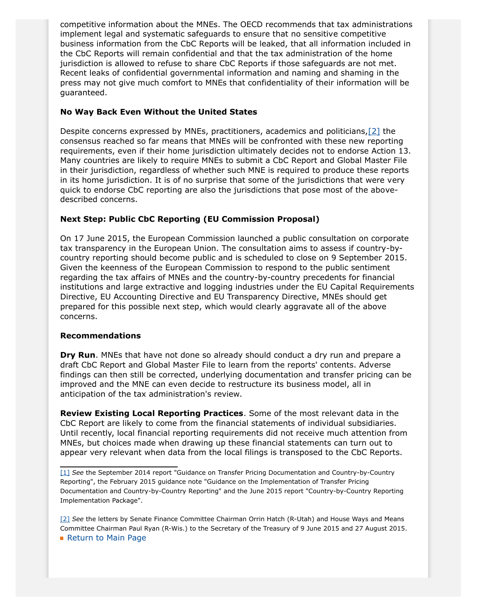competitive information about the MNEs. The OECD recommends that tax administrations implement legal and systematic safeguards to ensure that no sensitive competitive business information from the CbC Reports will be leaked, that all information included in the CbC Reports will remain confidential and that the tax administration of the home jurisdiction is allowed to refuse to share CbC Reports if those safeguards are not met. Recent leaks of confidential governmental information and naming and shaming in the press may not give much comfort to MNEs that confidentiality of their information will be guaranteed.

# **No Way Back Even Without the United States**

<span id="page-21-2"></span>Despite concerns expressed by MNEs, practitioners, academics and politicians,[\[2\]](#page-21-1) the consensus reached so far means that MNEs will be confronted with these new reporting requirements, even if their home jurisdiction ultimately decides not to endorse Action 13. Many countries are likely to require MNEs to submit a CbC Report and Global Master File in their jurisdiction, regardless of whether such MNE is required to produce these reports in its home jurisdiction. It is of no surprise that some of the jurisdictions that were very quick to endorse CbC reporting are also the jurisdictions that pose most of the abovedescribed concerns.

# **Next Step: Public CbC Reporting (EU Commission Proposal)**

On 17 June 2015, the European Commission launched a public consultation on corporate tax transparency in the European Union. The consultation aims to assess if country-bycountry reporting should become public and is scheduled to close on 9 September 2015. Given the keenness of the European Commission to respond to the public sentiment regarding the tax affairs of MNEs and the country-by-country precedents for financial institutions and large extractive and logging industries under the EU Capital Requirements Directive, EU Accounting Directive and EU Transparency Directive, MNEs should get prepared for this possible next step, which would clearly aggravate all of the above concerns.

## **Recommendations**

**Dry Run**. MNEs that have not done so already should conduct a dry run and prepare a draft CbC Report and Global Master File to learn from the reports' contents. Adverse findings can then still be corrected, underlying documentation and transfer pricing can be improved and the MNE can even decide to restructure its business model, all in anticipation of the tax administration's review.

**Review Existing Local Reporting Practices**. Some of the most relevant data in the CbC Report are likely to come from the financial statements of individual subsidiaries. Until recently, local financial reporting requirements did not receive much attention from MNEs, but choices made when drawing up these financial statements can turn out to appear very relevant when data from the local filings is transposed to the CbC Reports.

<span id="page-21-1"></span>[\[2\]](#page-21-2) *See* the letters by Senate Finance Committee Chairman Orrin Hatch (R-Utah) and House Ways and Means Committee Chairman Paul Ryan (R-Wis.) to the Secretary of the Treasury of 9 June 2015 and 27 August 2015. **[Return to Main Page](http://thewritestuff.jonesday.com/cv/21dee491f2985a655505c20e8dffde86a8e5654a/p=0)** 

<span id="page-21-0"></span>[<sup>\[1\]</sup>](#page-19-0) *See* the September 2014 report "Guidance on Transfer Pricing Documentation and Country-by-Country Reporting", the February 2015 guidance note "Guidance on the Implementation of Transfer Pricing Documentation and Country-by-Country Reporting" and the June 2015 report "Country-by-Country Reporting Implementation Package".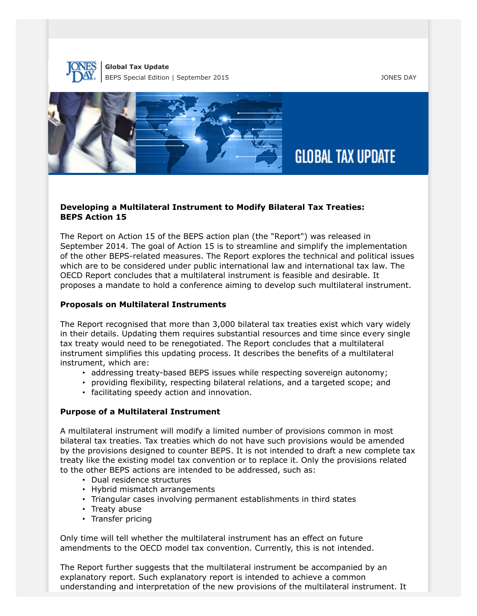



## **Developing a Multilateral Instrument to Modify Bilateral Tax Treaties: BEPS Action 15**

The Report on Action 15 of the BEPS action plan (the "Report") was released in September 2014. The goal of Action 15 is to streamline and simplify the implementation of the other BEPS-related measures. The Report explores the technical and political issues which are to be considered under public international law and international tax law. The OECD Report concludes that a multilateral instrument is feasible and desirable. It proposes a mandate to hold a conference aiming to develop such multilateral instrument.

#### **Proposals on Multilateral Instruments**

The Report recognised that more than 3,000 bilateral tax treaties exist which vary widely in their details. Updating them requires substantial resources and time since every single tax treaty would need to be renegotiated. The Report concludes that a multilateral instrument simplifies this updating process. It describes the benefits of a multilateral instrument, which are:

- addressing treaty-based BEPS issues while respecting sovereign autonomy;
- providing flexibility, respecting bilateral relations, and a targeted scope; and
- facilitating speedy action and innovation.

## **Purpose of a Multilateral Instrument**

A multilateral instrument will modify a limited number of provisions common in most bilateral tax treaties. Tax treaties which do not have such provisions would be amended by the provisions designed to counter BEPS. It is not intended to draft a new complete tax treaty like the existing model tax convention or to replace it. Only the provisions related to the other BEPS actions are intended to be addressed, such as:

- Dual residence structures
- Hybrid mismatch arrangements
- Triangular cases involving permanent establishments in third states
- Treaty abuse
- Transfer pricing

Only time will tell whether the multilateral instrument has an effect on future amendments to the OECD model tax convention. Currently, this is not intended.

The Report further suggests that the multilateral instrument be accompanied by an explanatory report. Such explanatory report is intended to achieve a common understanding and interpretation of the new provisions of the multilateral instrument. It